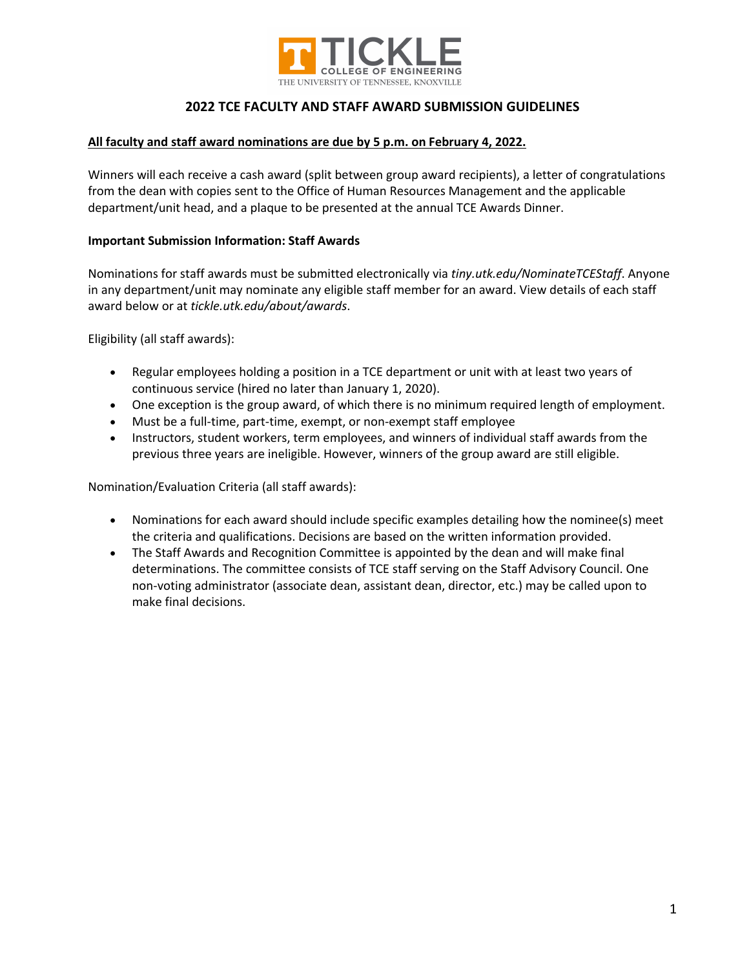

### **All faculty and staff award nominations are due by 5 p.m. on February 4, 2022.**

Winners will each receive a cash award (split between group award recipients), a letter of congratulations from the dean with copies sent to the Office of Human Resources Management and the applicable department/unit head, and a plaque to be presented at the annual TCE Awards Dinner.

### **Important Submission Information: Staff Awards**

Nominations for staff awards must be submitted electronically via *tiny.utk.edu/NominateTCEStaff*. Anyone in any department/unit may nominate any eligible staff member for an award. View details of each staff award below or at *tickle.utk.edu/about/awards*.

Eligibility (all staff awards):

- Regular employees holding a position in a TCE department or unit with at least two years of continuous service (hired no later than January 1, 2020).
- One exception is the group award, of which there is no minimum required length of employment.
- Must be a full-time, part-time, exempt, or non-exempt staff employee
- Instructors, student workers, term employees, and winners of individual staff awards from the previous three years are ineligible. However, winners of the group award are still eligible.

Nomination/Evaluation Criteria (all staff awards):

- Nominations for each award should include specific examples detailing how the nominee(s) meet the criteria and qualifications. Decisions are based on the written information provided.
- The Staff Awards and Recognition Committee is appointed by the dean and will make final determinations. The committee consists of TCE staff serving on the Staff Advisory Council. One non-voting administrator (associate dean, assistant dean, director, etc.) may be called upon to make final decisions.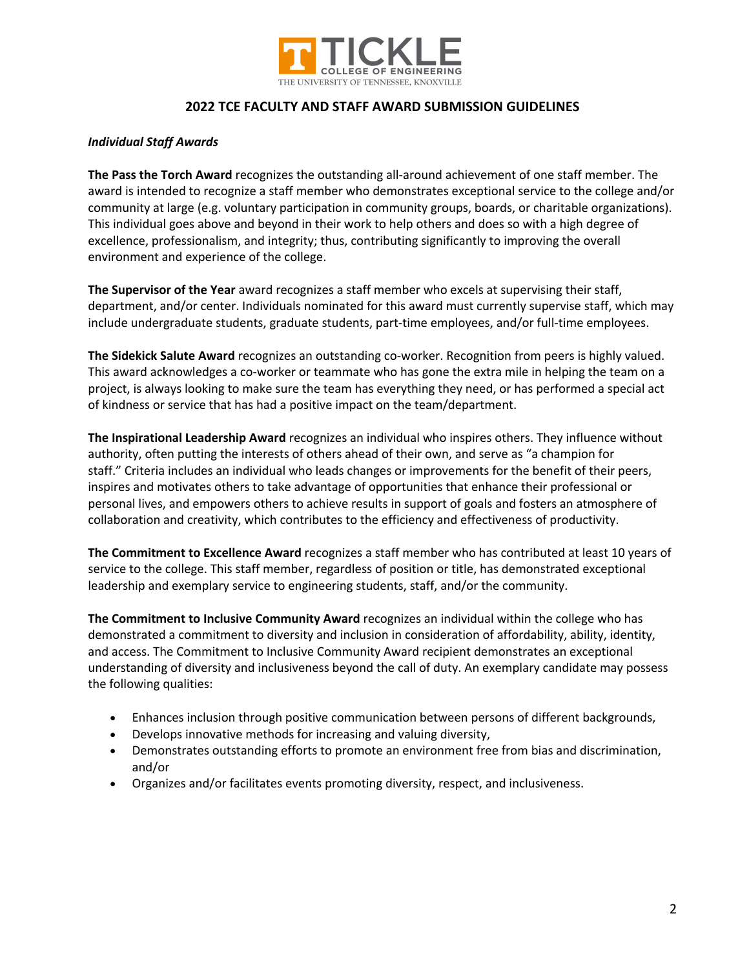

### *Individual Staff Awards*

**The Pass the Torch Award** recognizes the outstanding all-around achievement of one staff member. The award is intended to recognize a staff member who demonstrates exceptional service to the college and/or community at large (e.g. voluntary participation in community groups, boards, or charitable organizations). This individual goes above and beyond in their work to help others and does so with a high degree of excellence, professionalism, and integrity; thus, contributing significantly to improving the overall environment and experience of the college.

**The Supervisor of the Year** award recognizes a staff member who excels at supervising their staff, department, and/or center. Individuals nominated for this award must currently supervise staff, which may include undergraduate students, graduate students, part-time employees, and/or full-time employees.

**The Sidekick Salute Award** recognizes an outstanding co-worker. Recognition from peers is highly valued. This award acknowledges a co-worker or teammate who has gone the extra mile in helping the team on a project, is always looking to make sure the team has everything they need, or has performed a special act of kindness or service that has had a positive impact on the team/department.

**The Inspirational Leadership Award** recognizes an individual who inspires others. They influence without authority, often putting the interests of others ahead of their own, and serve as "a champion for staff." Criteria includes an individual who leads changes or improvements for the benefit of their peers, inspires and motivates others to take advantage of opportunities that enhance their professional or personal lives, and empowers others to achieve results in support of goals and fosters an atmosphere of collaboration and creativity, which contributes to the efficiency and effectiveness of productivity.

**The Commitment to Excellence Award** recognizes a staff member who has contributed at least 10 years of service to the college. This staff member, regardless of position or title, has demonstrated exceptional leadership and exemplary service to engineering students, staff, and/or the community.

**The Commitment to Inclusive Community Award** recognizes an individual within the college who has demonstrated a commitment to diversity and inclusion in consideration of affordability, ability, identity, and access. The Commitment to Inclusive Community Award recipient demonstrates an exceptional understanding of diversity and inclusiveness beyond the call of duty. An exemplary candidate may possess the following qualities:

- Enhances inclusion through positive communication between persons of different backgrounds,
- Develops innovative methods for increasing and valuing diversity,
- Demonstrates outstanding efforts to promote an environment free from bias and discrimination, and/or
- Organizes and/or facilitates events promoting diversity, respect, and inclusiveness.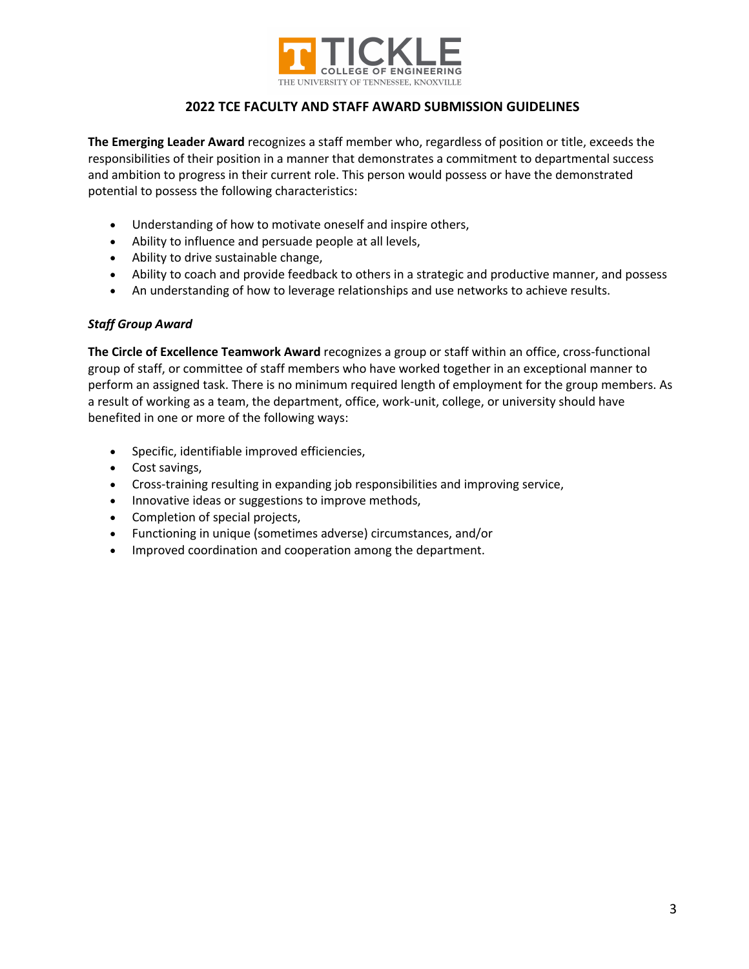

**The Emerging Leader Award** recognizes a staff member who, regardless of position or title, exceeds the responsibilities of their position in a manner that demonstrates a commitment to departmental success and ambition to progress in their current role. This person would possess or have the demonstrated potential to possess the following characteristics:

- Understanding of how to motivate oneself and inspire others,
- Ability to influence and persuade people at all levels,
- Ability to drive sustainable change,
- Ability to coach and provide feedback to others in a strategic and productive manner, and possess
- An understanding of how to leverage relationships and use networks to achieve results.

## *Staff Group Award*

**The Circle of Excellence Teamwork Award** recognizes a group or staff within an office, cross-functional group of staff, or committee of staff members who have worked together in an exceptional manner to perform an assigned task. There is no minimum required length of employment for the group members. As a result of working as a team, the department, office, work-unit, college, or university should have benefited in one or more of the following ways:

- Specific, identifiable improved efficiencies,
- Cost savings,
- Cross-training resulting in expanding job responsibilities and improving service,
- Innovative ideas or suggestions to improve methods,
- Completion of special projects,
- Functioning in unique (sometimes adverse) circumstances, and/or
- Improved coordination and cooperation among the department.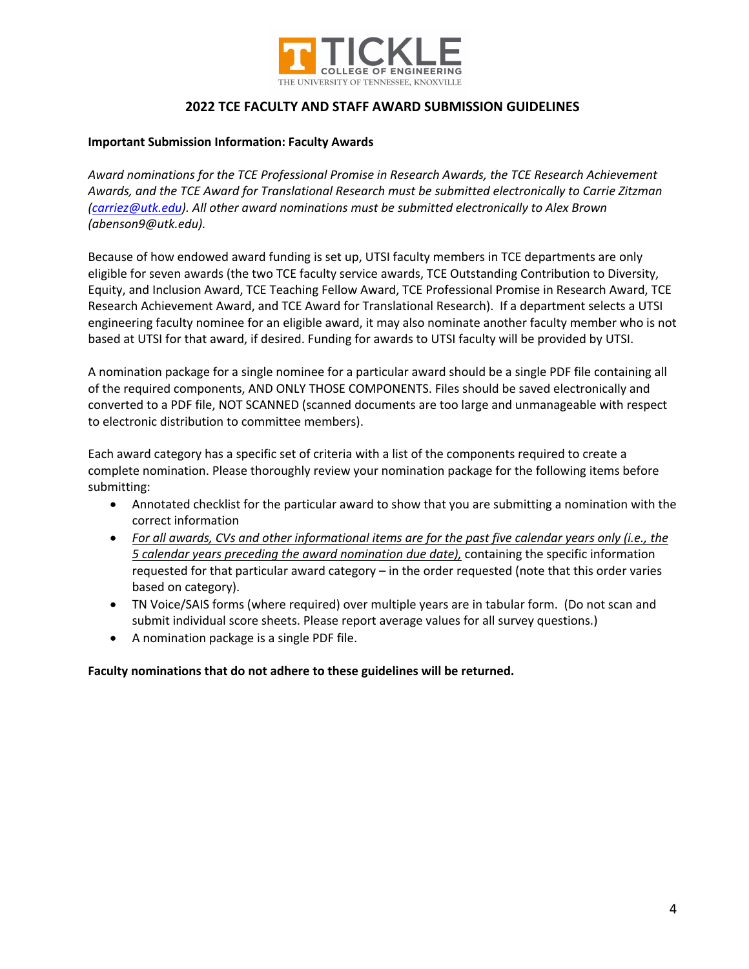

#### **Important Submission Information: Faculty Awards**

*Award nominations for the TCE Professional Promise in Research Awards, the TCE Research Achievement Awards, and the TCE Award for Translational Research must be submitted electronically to Carrie Zitzman (carriez@utk.edu). All other award nominations must be submitted electronically to Alex Brown (abenson9@utk.edu).* 

Because of how endowed award funding is set up, UTSI faculty members in TCE departments are only eligible for seven awards (the two TCE faculty service awards, TCE Outstanding Contribution to Diversity, Equity, and Inclusion Award, TCE Teaching Fellow Award, TCE Professional Promise in Research Award, TCE Research Achievement Award, and TCE Award for Translational Research). If a department selects a UTSI engineering faculty nominee for an eligible award, it may also nominate another faculty member who is not based at UTSI for that award, if desired. Funding for awards to UTSI faculty will be provided by UTSI.

A nomination package for a single nominee for a particular award should be a single PDF file containing all of the required components, AND ONLY THOSE COMPONENTS. Files should be saved electronically and converted to a PDF file, NOT SCANNED (scanned documents are too large and unmanageable with respect to electronic distribution to committee members).

Each award category has a specific set of criteria with a list of the components required to create a complete nomination. Please thoroughly review your nomination package for the following items before submitting:

- Annotated checklist for the particular award to show that you are submitting a nomination with the correct information
- *For all awards, CVs and other informational items are for the past five calendar years only (i.e., the 5 calendar years preceding the award nomination due date),* containing the specific information requested for that particular award category – in the order requested (note that this order varies based on category).
- TN Voice/SAIS forms (where required) over multiple years are in tabular form. (Do not scan and submit individual score sheets. Please report average values for all survey questions.)
- A nomination package is a single PDF file.

## **Faculty nominations that do not adhere to these guidelines will be returned.**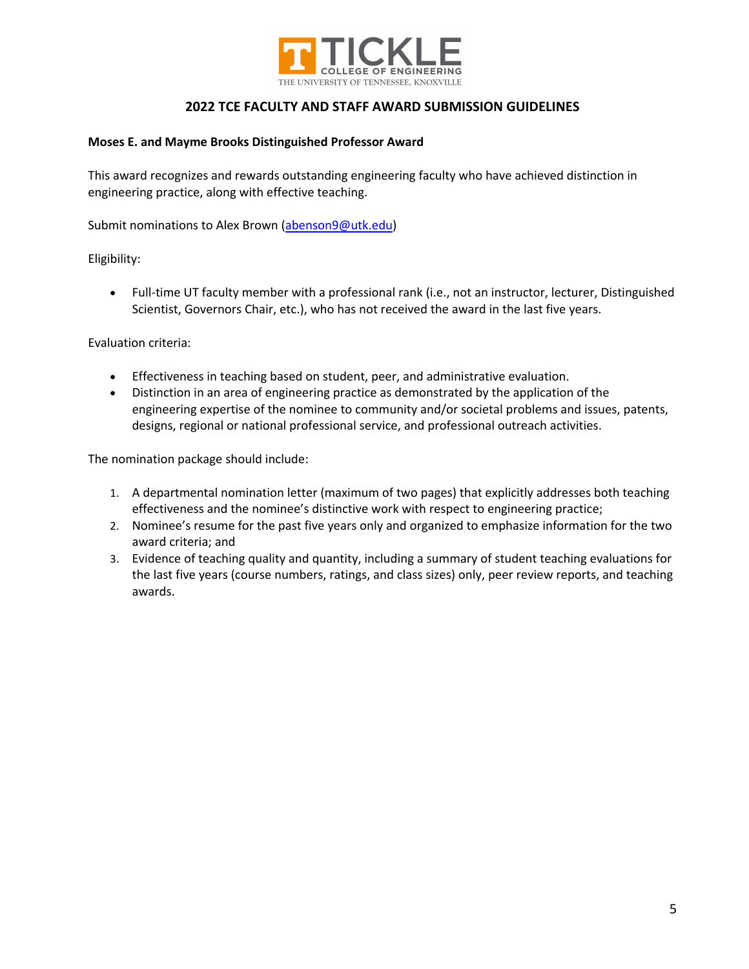

### **Moses E. and Mayme Brooks Distinguished Professor Award**

This award recognizes and rewards outstanding engineering faculty who have achieved distinction in engineering practice, along with effective teaching.

Submit nominations to Alex Brown (abenson9@utk.edu)

Eligibility:

• Full-time UT faculty member with a professional rank (i.e., not an instructor, lecturer, Distinguished Scientist, Governors Chair, etc.), who has not received the award in the last five years.

Evaluation criteria:

- Effectiveness in teaching based on student, peer, and administrative evaluation.
- Distinction in an area of engineering practice as demonstrated by the application of the engineering expertise of the nominee to community and/or societal problems and issues, patents, designs, regional or national professional service, and professional outreach activities.

The nomination package should include:

- 1. A departmental nomination letter (maximum of two pages) that explicitly addresses both teaching effectiveness and the nominee's distinctive work with respect to engineering practice;
- 2. Nominee's resume for the past five years only and organized to emphasize information for the two award criteria; and
- 3. Evidence of teaching quality and quantity, including a summary of student teaching evaluations for the last five years (course numbers, ratings, and class sizes) only, peer review reports, and teaching awards.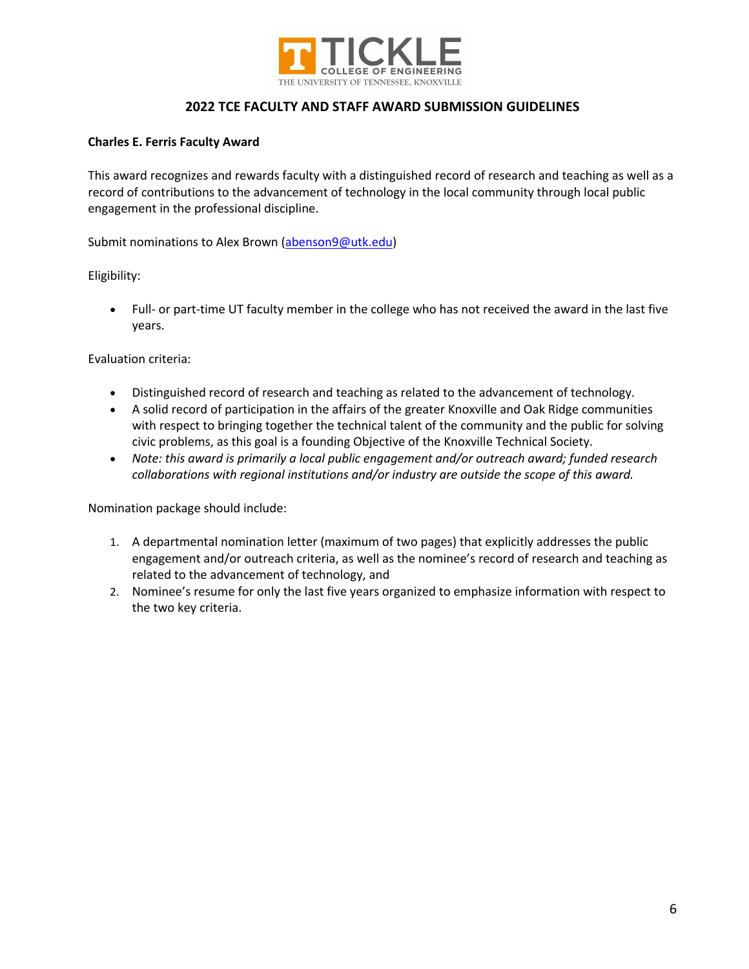

### **Charles E. Ferris Faculty Award**

This award recognizes and rewards faculty with a distinguished record of research and teaching as well as a record of contributions to the advancement of technology in the local community through local public engagement in the professional discipline.

Submit nominations to Alex Brown (abenson9@utk.edu)

Eligibility:

• Full- or part-time UT faculty member in the college who has not received the award in the last five years.

Evaluation criteria:

- Distinguished record of research and teaching as related to the advancement of technology.
- A solid record of participation in the affairs of the greater Knoxville and Oak Ridge communities with respect to bringing together the technical talent of the community and the public for solving civic problems, as this goal is a founding Objective of the Knoxville Technical Society.
- *Note: this award is primarily a local public engagement and/or outreach award; funded research collaborations with regional institutions and/or industry are outside the scope of this award.*

Nomination package should include:

- 1. A departmental nomination letter (maximum of two pages) that explicitly addresses the public engagement and/or outreach criteria, as well as the nominee's record of research and teaching as related to the advancement of technology, and
- 2. Nominee's resume for only the last five years organized to emphasize information with respect to the two key criteria.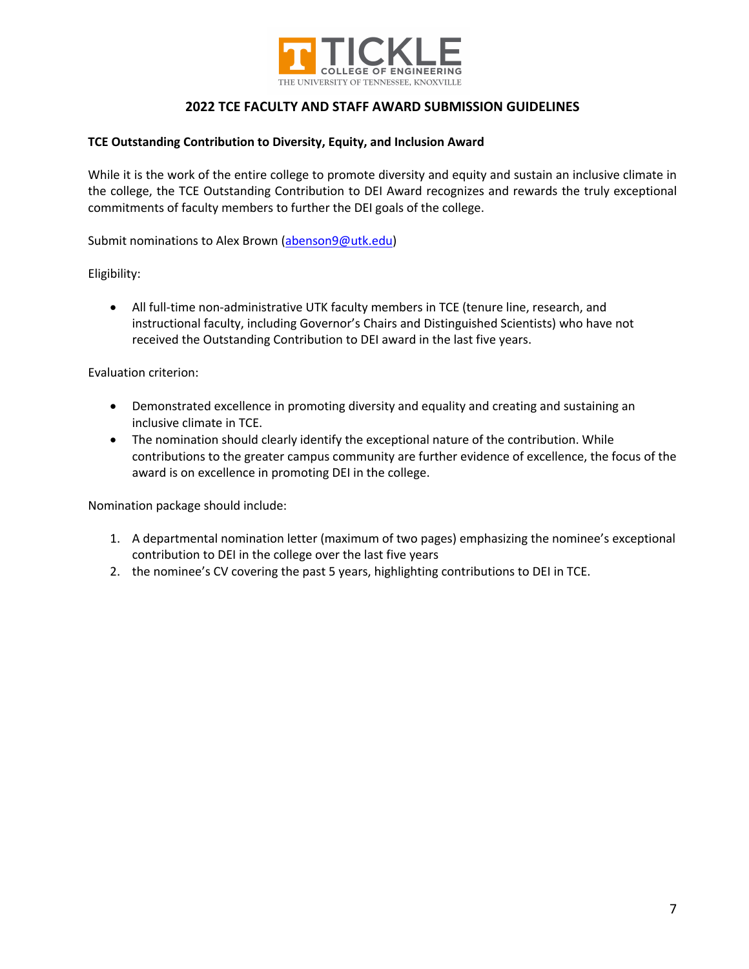

### **TCE Outstanding Contribution to Diversity, Equity, and Inclusion Award**

While it is the work of the entire college to promote diversity and equity and sustain an inclusive climate in the college, the TCE Outstanding Contribution to DEI Award recognizes and rewards the truly exceptional commitments of faculty members to further the DEI goals of the college.

Submit nominations to Alex Brown (abenson9@utk.edu)

Eligibility:

• All full-time non-administrative UTK faculty members in TCE (tenure line, research, and instructional faculty, including Governor's Chairs and Distinguished Scientists) who have not received the Outstanding Contribution to DEI award in the last five years.

Evaluation criterion:

- Demonstrated excellence in promoting diversity and equality and creating and sustaining an inclusive climate in TCE.
- The nomination should clearly identify the exceptional nature of the contribution. While contributions to the greater campus community are further evidence of excellence, the focus of the award is on excellence in promoting DEI in the college.

Nomination package should include:

- 1. A departmental nomination letter (maximum of two pages) emphasizing the nominee's exceptional contribution to DEI in the college over the last five years
- 2. the nominee's CV covering the past 5 years, highlighting contributions to DEI in TCE.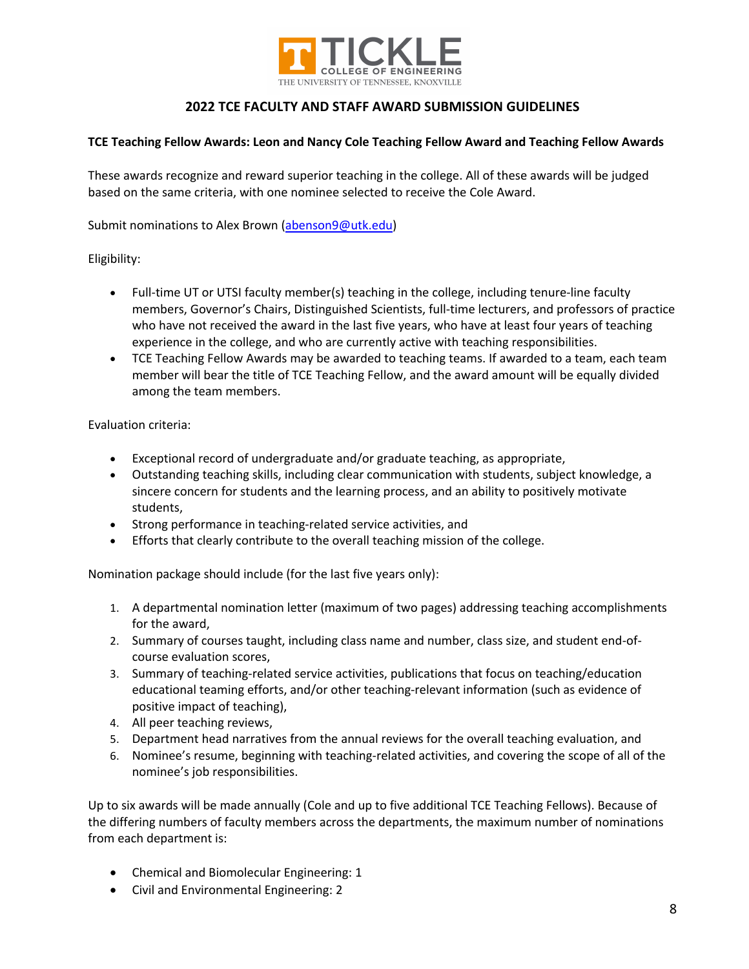

### **TCE Teaching Fellow Awards: Leon and Nancy Cole Teaching Fellow Award and Teaching Fellow Awards**

These awards recognize and reward superior teaching in the college. All of these awards will be judged based on the same criteria, with one nominee selected to receive the Cole Award.

Submit nominations to Alex Brown (abenson9@utk.edu)

Eligibility:

- Full-time UT or UTSI faculty member(s) teaching in the college, including tenure-line faculty members, Governor's Chairs, Distinguished Scientists, full-time lecturers, and professors of practice who have not received the award in the last five years, who have at least four years of teaching experience in the college, and who are currently active with teaching responsibilities.
- TCE Teaching Fellow Awards may be awarded to teaching teams. If awarded to a team, each team member will bear the title of TCE Teaching Fellow, and the award amount will be equally divided among the team members.

Evaluation criteria:

- Exceptional record of undergraduate and/or graduate teaching, as appropriate,
- Outstanding teaching skills, including clear communication with students, subject knowledge, a sincere concern for students and the learning process, and an ability to positively motivate students,
- Strong performance in teaching-related service activities, and
- Efforts that clearly contribute to the overall teaching mission of the college.

Nomination package should include (for the last five years only):

- 1. A departmental nomination letter (maximum of two pages) addressing teaching accomplishments for the award,
- 2. Summary of courses taught, including class name and number, class size, and student end-ofcourse evaluation scores,
- 3. Summary of teaching-related service activities, publications that focus on teaching/education educational teaming efforts, and/or other teaching-relevant information (such as evidence of positive impact of teaching),
- 4. All peer teaching reviews,
- 5. Department head narratives from the annual reviews for the overall teaching evaluation, and
- 6. Nominee's resume, beginning with teaching-related activities, and covering the scope of all of the nominee's job responsibilities.

Up to six awards will be made annually (Cole and up to five additional TCE Teaching Fellows). Because of the differing numbers of faculty members across the departments, the maximum number of nominations from each department is:

- Chemical and Biomolecular Engineering: 1
- Civil and Environmental Engineering: 2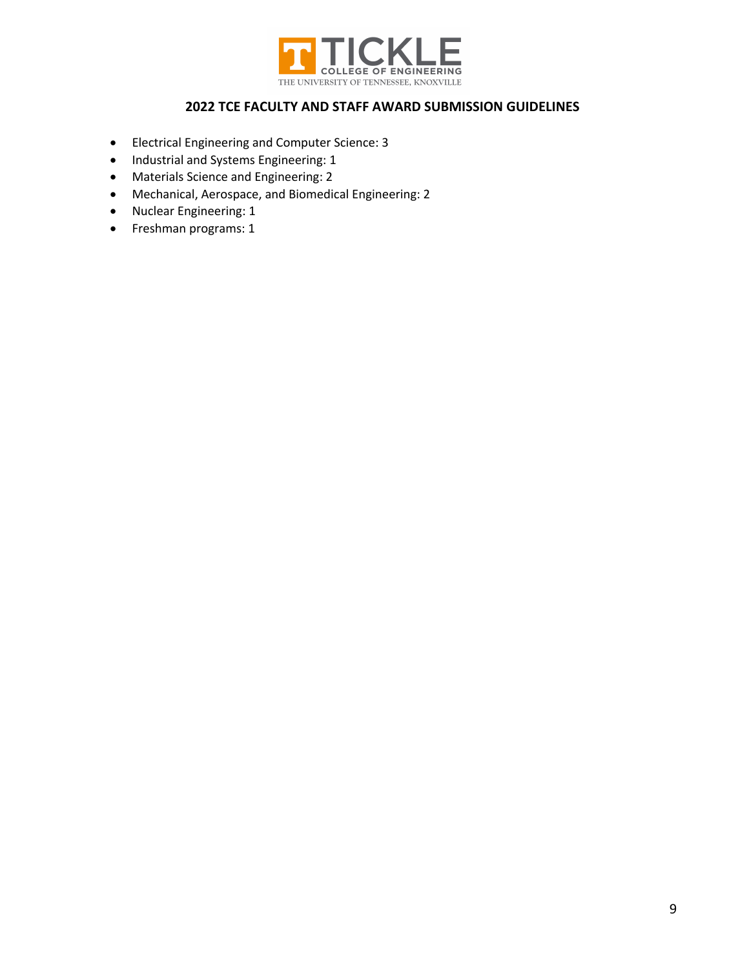

- Electrical Engineering and Computer Science: 3
- Industrial and Systems Engineering: 1
- Materials Science and Engineering: 2
- Mechanical, Aerospace, and Biomedical Engineering: 2
- Nuclear Engineering: 1
- Freshman programs: 1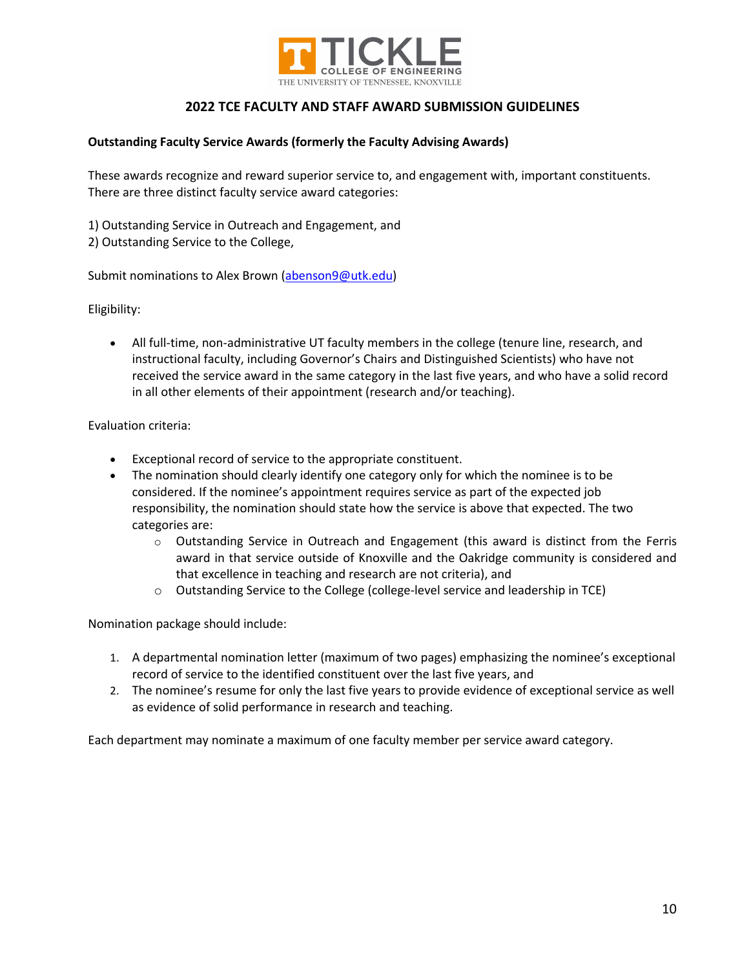

### **Outstanding Faculty Service Awards (formerly the Faculty Advising Awards)**

These awards recognize and reward superior service to, and engagement with, important constituents. There are three distinct faculty service award categories:

1) Outstanding Service in Outreach and Engagement, and

2) Outstanding Service to the College,

Submit nominations to Alex Brown (abenson9@utk.edu)

Eligibility:

• All full-time, non-administrative UT faculty members in the college (tenure line, research, and instructional faculty, including Governor's Chairs and Distinguished Scientists) who have not received the service award in the same category in the last five years, and who have a solid record in all other elements of their appointment (research and/or teaching).

Evaluation criteria:

- Exceptional record of service to the appropriate constituent.
- The nomination should clearly identify one category only for which the nominee is to be considered. If the nominee's appointment requires service as part of the expected job responsibility, the nomination should state how the service is above that expected. The two categories are:
	- $\circ$  Outstanding Service in Outreach and Engagement (this award is distinct from the Ferris award in that service outside of Knoxville and the Oakridge community is considered and that excellence in teaching and research are not criteria), and
	- $\circ$  Outstanding Service to the College (college-level service and leadership in TCE)

Nomination package should include:

- 1. A departmental nomination letter (maximum of two pages) emphasizing the nominee's exceptional record of service to the identified constituent over the last five years, and
- 2. The nominee's resume for only the last five years to provide evidence of exceptional service as well as evidence of solid performance in research and teaching.

Each department may nominate a maximum of one faculty member per service award category.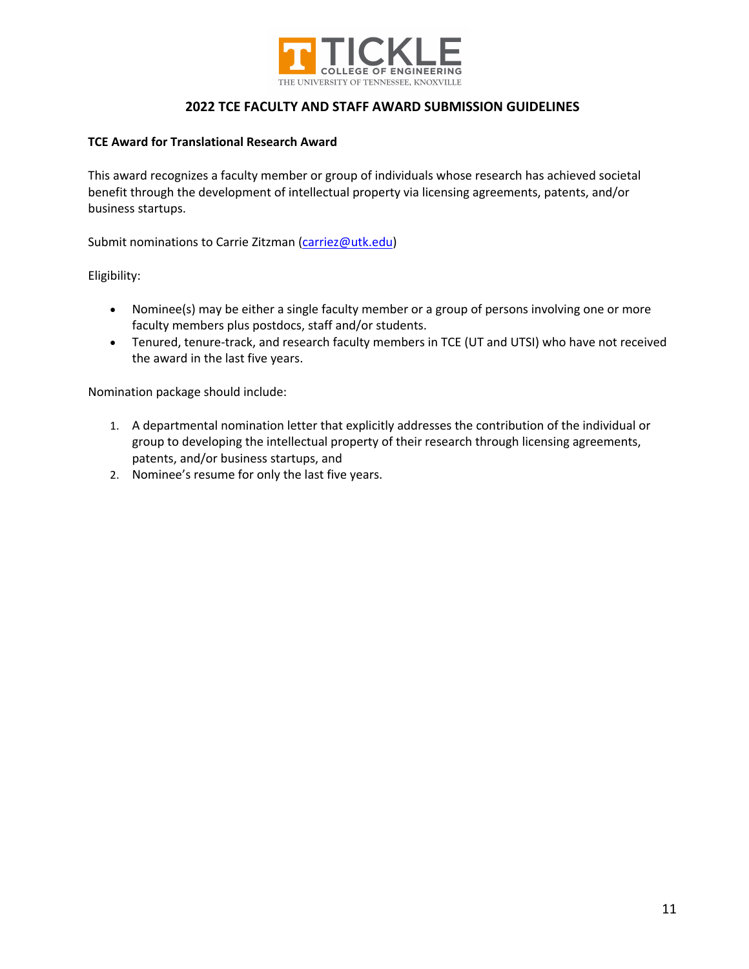

### **TCE Award for Translational Research Award**

This award recognizes a faculty member or group of individuals whose research has achieved societal benefit through the development of intellectual property via licensing agreements, patents, and/or business startups.

Submit nominations to Carrie Zitzman (carriez@utk.edu)

Eligibility:

- Nominee(s) may be either a single faculty member or a group of persons involving one or more faculty members plus postdocs, staff and/or students.
- Tenured, tenure-track, and research faculty members in TCE (UT and UTSI) who have not received the award in the last five years.

Nomination package should include:

- 1. A departmental nomination letter that explicitly addresses the contribution of the individual or group to developing the intellectual property of their research through licensing agreements, patents, and/or business startups, and
- 2. Nominee's resume for only the last five years.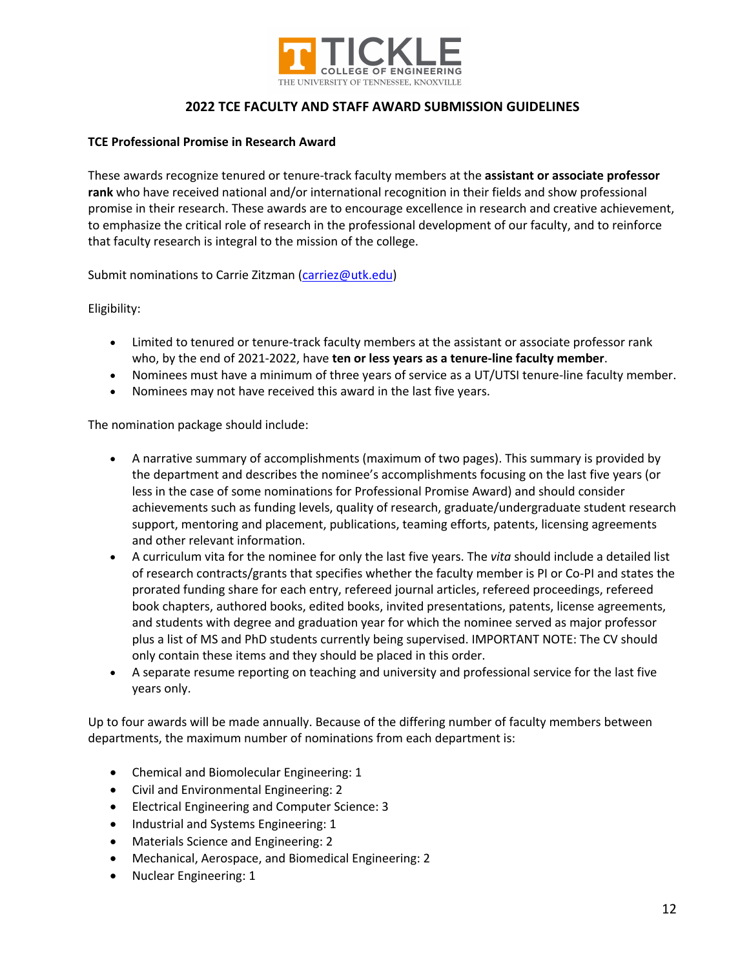

#### **TCE Professional Promise in Research Award**

These awards recognize tenured or tenure-track faculty members at the **assistant or associate professor rank** who have received national and/or international recognition in their fields and show professional promise in their research. These awards are to encourage excellence in research and creative achievement, to emphasize the critical role of research in the professional development of our faculty, and to reinforce that faculty research is integral to the mission of the college.

Submit nominations to Carrie Zitzman (carriez@utk.edu)

Eligibility:

- Limited to tenured or tenure-track faculty members at the assistant or associate professor rank who, by the end of 2021-2022, have **ten or less years as a tenure-line faculty member**.
- Nominees must have a minimum of three years of service as a UT/UTSI tenure-line faculty member.
- Nominees may not have received this award in the last five years.

The nomination package should include:

- A narrative summary of accomplishments (maximum of two pages). This summary is provided by the department and describes the nominee's accomplishments focusing on the last five years (or less in the case of some nominations for Professional Promise Award) and should consider achievements such as funding levels, quality of research, graduate/undergraduate student research support, mentoring and placement, publications, teaming efforts, patents, licensing agreements and other relevant information.
- A curriculum vita for the nominee for only the last five years. The *vita* should include a detailed list of research contracts/grants that specifies whether the faculty member is PI or Co-PI and states the prorated funding share for each entry, refereed journal articles, refereed proceedings, refereed book chapters, authored books, edited books, invited presentations, patents, license agreements, and students with degree and graduation year for which the nominee served as major professor plus a list of MS and PhD students currently being supervised. IMPORTANT NOTE: The CV should only contain these items and they should be placed in this order.
- A separate resume reporting on teaching and university and professional service for the last five years only.

Up to four awards will be made annually. Because of the differing number of faculty members between departments, the maximum number of nominations from each department is:

- Chemical and Biomolecular Engineering: 1
- Civil and Environmental Engineering: 2
- Electrical Engineering and Computer Science: 3
- Industrial and Systems Engineering: 1
- Materials Science and Engineering: 2
- Mechanical, Aerospace, and Biomedical Engineering: 2
- Nuclear Engineering: 1